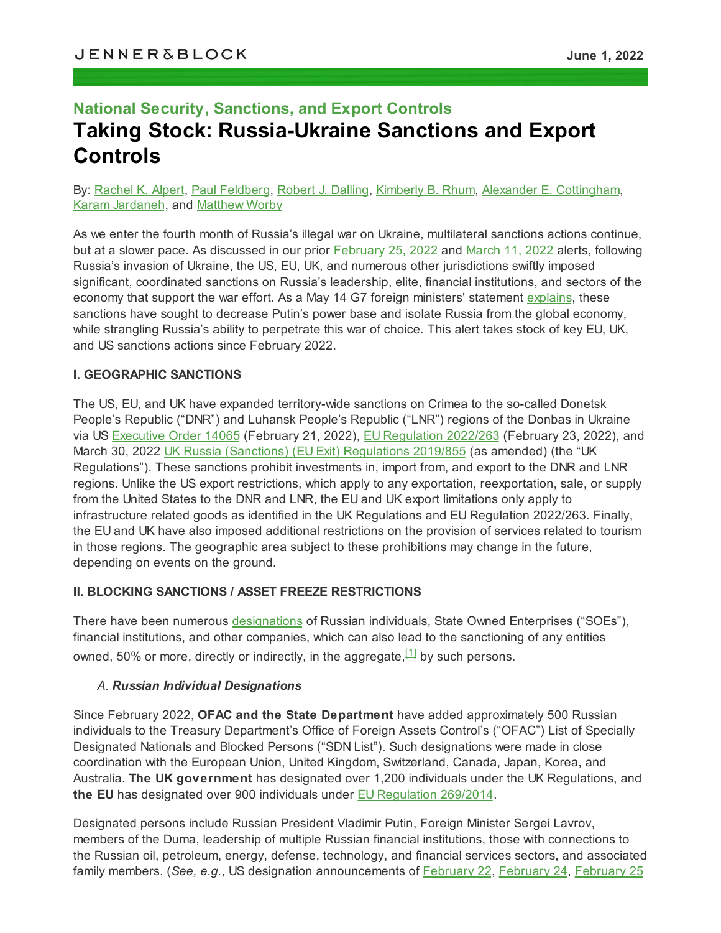# **National Security, Sanctions, and Export Controls Taking Stock: Russia-Ukraine Sanctions and Export Controls**

#### By: [Rachel](https://jenner.com/people/RachelAlpert) K. Alpert, Paul [Feldberg,](https://jenner.com/people/PaulFeldberg) Robert J. [Dalling,](https://jenner.com/people/RobertDalling) [Kimberly](https://jenner.com/people/KimberlyRhum) B. Rhum, Alexander E. [Cottingham](https://jenner.com/people/AlexanderCottingham), Karam [Jardaneh](https://jenner.com/people/KaramJardaneh), and [Matthew](https://jenner.com/people/MatthewWorby) Worby

As we enter the fourth month of Russia's illegal war on Ukraine, multilateral sanctions actions continue, but at a slower pace. As discussed in our prior [February](https://jenner.com/system/assets/publications/21629/original/Expanding_Multilateral_Sanctions_as_Russia_Invades_Ukraine.pdf?1645827120) 25, 2022 and [March](https://jenner.com/system/assets/publications/21659/original/Escalating_Multilateral_Sanctions_Increase_Pressure_Putin_Support_Base.pdf?1647032614) 11, 2022 alerts, following Russia's invasion of Ukraine, the US, EU, UK, and numerous other jurisdictions swiftly imposed significant, coordinated sanctions on Russia's leadership, elite, financial institutions, and sectors of the economy that support the war effort. As a May 14 G7 foreign ministers' statement [explains](https://www.state.gov/g7-foreign-ministers-statement-on-russias-war-against-ukraine/), these sanctions have sought to decrease Putin's power base and isolate Russia from the global economy, while strangling Russia's ability to perpetrate this war of choice. This alert takes stock of key EU, UK, and US sanctions actions since February 2022.

#### **I. GEOGRAPHIC SANCTIONS**

The US, EU, and UK have expanded territory-wide sanctions on Crimea to the so-called Donetsk People's Republic ("DNR") and Luhansk People's Republic ("LNR") regions of the Donbas in Ukraine via US [Executive](https://home.treasury.gov/system/files/126/14065.pdf) Order 14065 (February 21, 2022), EU [Regulation](https://eur-lex.europa.eu/legal-content/EN/TXT/?uri=CELEX:02022R0263-20220414) 2022/263 (February 23, 2022), and March 30, 2022 UK Russia (Sanctions) (EU Exit) [Regulations](https://www.legislation.gov.uk/uksi/2019/855/contents) 2019/855 (as amended) (the "UK Regulations"). These sanctions prohibit investments in, import from, and export to the DNR and LNR regions. Unlike the US export restrictions, which apply to any exportation, reexportation, sale, or supply from the United States to the DNR and LNR, the EU and UK export limitations only apply to infrastructure related goods as identified in the UK Regulations and EU Regulation 2022/263. Finally, the EU and UK have also imposed additional restrictions on the provision of services related to tourism in those regions. The geographic area subject to these prohibitions may change in the future, depending on events on the ground.

#### **II. BLOCKING SANCTIONS / ASSET FREEZE RESTRICTIONS**

There have been numerous [designations](https://www.treasury.gov/ofac/downloads/sdnlist.pdf) of Russian individuals, State Owned Enterprises ("SOEs"), financial institutions, and other companies, which can also lead to the sanctioning of any entities owned, 50% or more, directly or indirectly, in the aggregate,<sup>[\[1\]](#page-7-0)</sup> by such persons.

#### <span id="page-0-0"></span>*A*. *Russian Individual Designations*

Since February 2022, **OFAC and the State Department** have added approximately 500 Russian individuals to the Treasury Department's Office of Foreign Assets Control's ("OFAC") List of Specially Designated Nationals and Blocked Persons ("SDN List"). Such designations were made in close coordination with the European Union, United Kingdom, Switzerland, Canada, Japan, Korea, and Australia. **The UK government** has designated over 1,200 individuals under the UK Regulations, and **the EU** has designated over 900 individuals under EU [Regulation](https://eur-lex.europa.eu/legal-content/EN/TXT/?uri=CELEX:02014R0269-20220421) 269/2014.

Designated persons include Russian President Vladimir Putin, Foreign Minister Sergei Lavrov, members of the Duma, leadership of multiple Russian financial institutions, those with connections to the Russian oil, petroleum, energy, defense, technology, and financial services sectors, and associated family members. (*See, e.g.*, US designation announcements of [February](https://home.treasury.gov/news/press-releases/jy0602) 22, [February](https://home.treasury.gov/news/press-releases/jy0608) 24, [February](https://home.treasury.gov/news/press-releases/jy0610) 25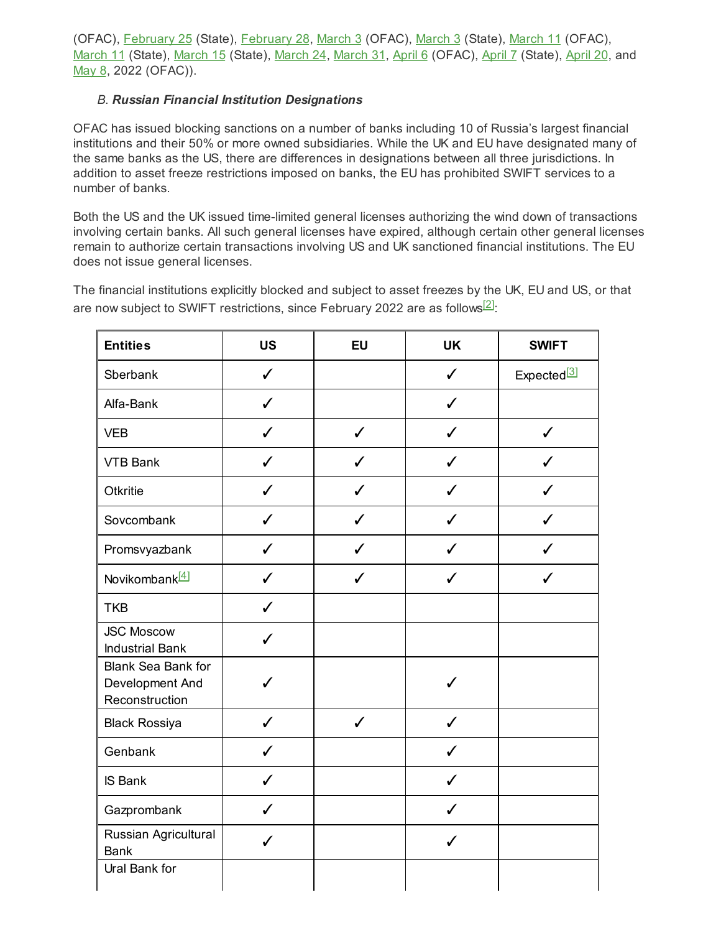(OFAC), [February](https://home.treasury.gov/news/press-releases/jy0612) 25 (State), February 28, [March](https://home.treasury.gov/news/press-releases/jy0650) 3 (OFAC), March 3 (State), March 11 (OFAC), [March](https://home.treasury.gov/news/press-releases/jy0692) 11 (State), March 15 (State), March 24, March 31, [April](https://home.treasury.gov/news/press-releases/jy0731) 6 (OFAC), April 7 (State), April 20, and [May](https://home.treasury.gov/news/press-releases/jy0771) 8, 2022 (OFAC)).

#### *B*. *Russian Financial Institution Designations*

OFAC has issued blocking sanctions on a number of banks including 10 of Russia's largest financial institutions and their 50% or more owned subsidiaries. While the UK and EU have designated many of the same banks as the US, there are differences in designations between all three jurisdictions. In addition to asset freeze restrictions imposed on banks, the EU has prohibited SWIFT services to a number of banks.

Both the US and the UK issued time-limited general licenses authorizing the wind down of transactions involving certain banks. All such general licenses have expired, although certain other general licenses remain to authorize certain transactions involving US and UK sanctioned financial institutions. The EU does not issue general licenses.

The financial institutions explicitly blocked and subject to asset freezes by the UK, EU and US, or that are now subject to SWIFT restrictions, since February 2022 are as follows $^{[2]}$  $^{[2]}$  $^{[2]}$ :

<span id="page-1-2"></span><span id="page-1-1"></span><span id="page-1-0"></span>

| <b>Entities</b>                                                | <b>US</b>        | <b>EU</b>    | <b>UK</b>    | <b>SWIFT</b>            |
|----------------------------------------------------------------|------------------|--------------|--------------|-------------------------|
| Sberbank                                                       | $\checkmark$     |              | $\checkmark$ | Expected <sup>[3]</sup> |
| Alfa-Bank                                                      | $\checkmark$     |              | $\checkmark$ |                         |
| <b>VEB</b>                                                     | $\checkmark$     | $\checkmark$ | ✓            | $\checkmark$            |
| <b>VTB Bank</b>                                                | $\checkmark$     | ✓            | ✔            | ℐ                       |
| Otkritie                                                       | J                | ✓            | J            | ✔                       |
| Sovcombank                                                     | ✔                | ✔            | J            | J                       |
| Promsvyazbank                                                  | ✓                | ℐ            | ✔            |                         |
| Novikombank <sup>[4]</sup>                                     | $\checkmark$     | ℐ            | J            |                         |
| <b>TKB</b>                                                     | $\checkmark$     |              |              |                         |
| <b>JSC Moscow</b><br><b>Industrial Bank</b>                    | J                |              |              |                         |
| <b>Blank Sea Bank for</b><br>Development And<br>Reconstruction | $\boldsymbol{J}$ |              | $\checkmark$ |                         |
| <b>Black Rossiya</b>                                           | $\checkmark$     | $\checkmark$ | $\checkmark$ |                         |
| Genbank                                                        | $\checkmark$     |              | $\checkmark$ |                         |
| <b>IS Bank</b>                                                 | $\checkmark$     |              | $\checkmark$ |                         |
| Gazprombank                                                    | $\checkmark$     |              | $\checkmark$ |                         |
| Russian Agricultural<br><b>Bank</b>                            | ✓                |              | $\checkmark$ |                         |
| Ural Bank for                                                  |                  |              |              |                         |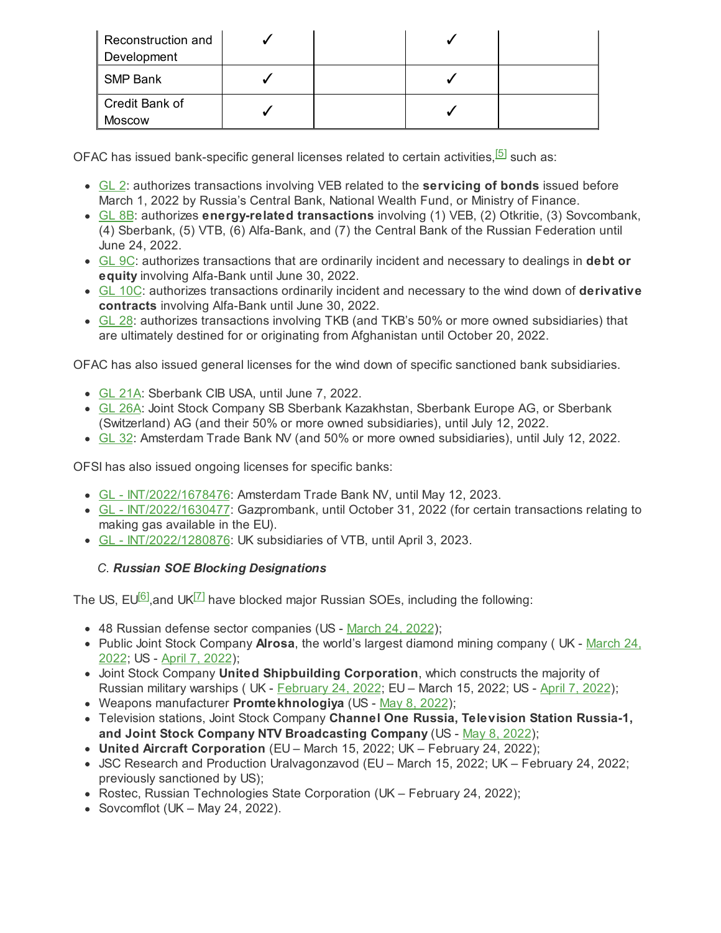| Reconstruction and<br>Development |  |  |
|-----------------------------------|--|--|
| SMP Bank                          |  |  |
| Credit Bank of<br><b>Moscow</b>   |  |  |

OFAC has issued bank-specific general licenses related to certain activities,<sup>[\[5\]](#page-7-4)</sup> such as:

- <span id="page-2-0"></span>[GL](https://home.treasury.gov/system/files/126/russia_gl2.pdf) 2: authorizes transactions involving VEB related to the **servicing of bonds** issued before March 1, 2022 by Russia's Central Bank, National Wealth Fund, or Ministry of Finance.
- [GL](https://home.treasury.gov/system/files/126/russia_gl8b.pdf) 8B: authorizes **energy-related transactions** involving (1) VEB, (2) Otkritie, (3) Sovcombank, (4) Sberbank, (5) VTB, (6) Alfa-Bank, and (7) the Central Bank of the Russian Federation until June 24, 2022.
- [GL](https://home.treasury.gov/system/files/126/russia_gl9c.pdf) 9C: authorizes transactions that are ordinarily incident and necessary to dealings in **debt or equity** involving Alfa-Bank until June 30, 2022.
- GL [10C:](https://home.treasury.gov/system/files/126/russia_gl10c.pdf) authorizes transactions ordinarily incident and necessary to the wind down of **derivative contracts** involving Alfa-Bank until June 30, 2022.
- [GL](https://home.treasury.gov/system/files/126/russia_gl28.pdf) 28: authorizes transactions involving TKB (and TKB's 50% or more owned subsidiaries) that are ultimately destined for or originating from Afghanistan until October 20, 2022.

OFAC has also issued general licenses for the wind down of specific sanctioned bank subsidiaries.

- GL [21A](https://home.treasury.gov/system/files/126/russia_gl21a.pdf): Sberbank CIB USA, until June 7, 2022.
- GL [26A](https://home.treasury.gov/system/files/126/russia_gl26.pdf): Joint Stock Company SB Sberbank Kazakhstan, Sberbank Europe AG, or Sberbank (Switzerland) AG (and their 50% or more owned subsidiaries), until July 12, 2022.
- [GL](https://home.treasury.gov/system/files/126/russia_gl32.pdf) 32: Amsterdam Trade Bank NV (and 50% or more owned subsidiaries), until July 12, 2022.

OFSI has also issued ongoing licenses for specific banks:

- GL [INT/2022/1678476:](https://assets.publishing.service.gov.uk/government/uploads/system/uploads/attachment_data/file/1074955/12.05.2022_Amsterdam_Trade_Bank_N.V_wind_down_-_basic_needs_-_insolvency_payments_-_Publication_Notice_INT-2022-1678476.pdf) Amsterdam Trade Bank NV, until May 12, 2023.
- GL [INT/2022/1630477:](https://assets.publishing.service.gov.uk/government/uploads/system/uploads/attachment_data/file/1079494/INT.2022.1630477_Gazprombank_gas_payments_publication_notice_2_220527.pdf) Gazprombank, until October 31, 2022 (for certain transactions relating to making gas available in the EU).
- GL [INT/2022/1280876:](https://assets.publishing.service.gov.uk/government/uploads/system/uploads/attachment_data/file/1070783/INT.2022.1280876publication_notice.pdf) UK subsidiaries of VTB, until April 3, 2023.

### <span id="page-2-2"></span><span id="page-2-1"></span>*C*. *Russian SOE Blocking Designations*

The US, EU $^{[6]}$  $^{[6]}$  $^{[6]}$ ,and UK $^{[7]}$  $^{[7]}$  $^{[7]}$  have blocked major Russian SOEs, including the following:

- 48 Russian defense sector companies (US [March](https://home.treasury.gov/news/press-releases/jy0677) 24, 2022);
- Public Joint Stock Company **Alrosa**, the world's largest diamond mining company ( UK [March](https://www.gov.uk/government/news/foreign-secretary-announces-65-new-russian-sanctions-to-cut-off-vital-industries-fuelling-putins-war-machine) 24, [2022;](https://www.gov.uk/government/news/foreign-secretary-announces-65-new-russian-sanctions-to-cut-off-vital-industries-fuelling-putins-war-machine) US - April 7, [2022](https://home.treasury.gov/news/press-releases/jy0707));
- Joint Stock Company **United Shipbuilding Corporation**, which constructs the majority of Russian military warships ( UK - [February](https://www.gov.uk/government/news/foreign-secretary-imposes-uks-most-punishing-sanctions-to-inflict-maximum-and-lasting-pain-on-russia) 24, 2022; EU – March 15, 2022; US - April 7, [2022](https://home.treasury.gov/news/press-releases/jy0707));
- Weapons manufacturer **Promtekhnologiya** (US May 8, [2022](https://home.treasury.gov/news/press-releases/jy0771));
- Television stations, Joint Stock Company **Channel One Russia, Television Station Russia-1, and Joint Stock Company NTV Broadcasting Company** (US - May 8, [2022\)](https://home.treasury.gov/news/press-releases/jy0771);
- **United Aircraft Corporation** (EU March 15, 2022; UK February 24, 2022);
- JSC Research and Production Uralvagonzavod (EU March 15, 2022; UK February 24, 2022; previously sanctioned by US);
- Rostec, Russian Technologies State Corporation (UK February 24, 2022);
- Sovcomflot  $(UK May 24, 2022)$ .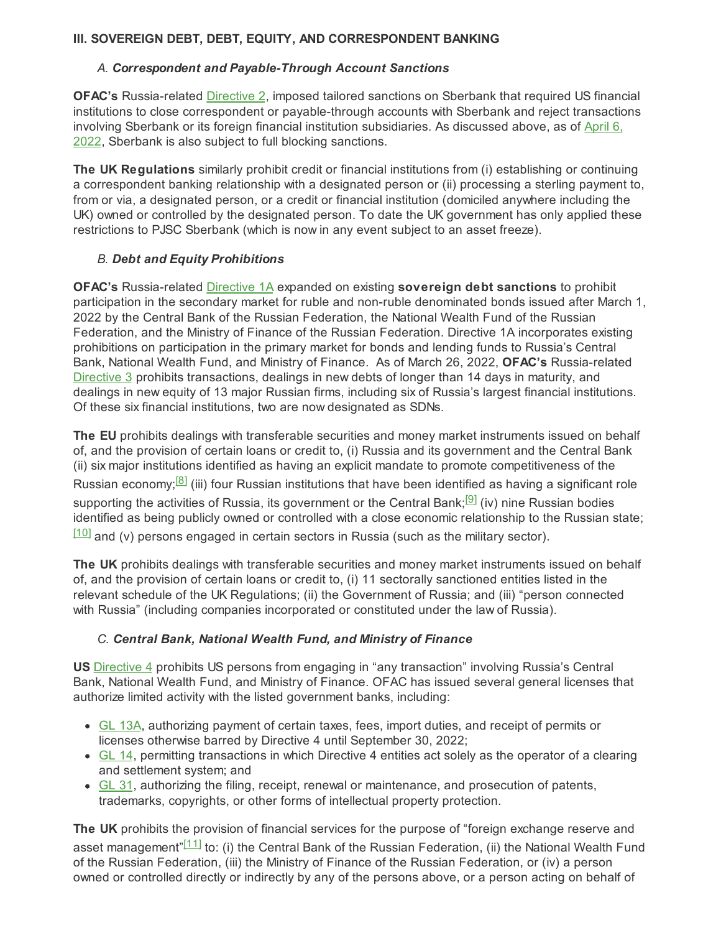#### **III. SOVEREIGN DEBT, DEBT, EQUITY, AND CORRESPONDENT BANKING**

#### *A. Correspondent and Payable-Through Account Sanctions*

**OFAC's** Russia-related [Directive](https://home.treasury.gov/system/files/126/correspondent_accounts_directive_2.pdf) 2, imposed tailored sanctions on Sberbank that required US financial institutions to close correspondent or payable-through accounts with Sberbank and reject transactions involving Sberbank or its foreign financial institution subsidiaries. As discussed above, as of [April](https://home.treasury.gov/news/press-releases/jy0705) 6, [2022,](https://home.treasury.gov/news/press-releases/jy0705) Sberbank is also subject to full blocking sanctions.

**The UK Regulations** similarly prohibit credit or financial institutions from (i) establishing or continuing a correspondent banking relationship with a designated person or (ii) processing a sterling payment to, from or via, a designated person, or a credit or financial institution (domiciled anywhere including the UK) owned or controlled by the designated person. To date the UK government has only applied these restrictions to PJSC Sberbank (which is now in any event subject to an asset freeze).

#### *B. Debt and Equity Prohibitions*

**OFAC's** Russia-related [Directive](https://home.treasury.gov/system/files/126/russia_directive_1a.pdf) 1A expanded on existing **sovereign debt sanctions** to prohibit participation in the secondary market for ruble and non-ruble denominated bonds issued after March 1, 2022 by the Central Bank of the Russian Federation, the National Wealth Fund of the Russian Federation, and the Ministry of Finance of the Russian Federation. Directive 1A incorporates existing prohibitions on participation in the primary market for bonds and lending funds to Russia's Central Bank, National Wealth Fund, and Ministry of Finance. As of March 26, 2022, **OFAC's** Russia-related [Directive](https://home.treasury.gov/system/files/126/new_debt_and_equity_directive_3.pdf) 3 prohibits transactions, dealings in new debts of longer than 14 days in maturity, and dealings in new equity of 13 major Russian firms, including six of Russia's largest financial institutions. Of these six financial institutions, two are now designated as SDNs.

<span id="page-3-1"></span><span id="page-3-0"></span>**The EU** prohibits dealings with transferable securities and money market instruments issued on behalf of, and the provision of certain loans or credit to, (i) Russia and its government and the Central Bank (ii) six major institutions identified as having an explicit mandate to promote competitiveness of the Russian economy;<sup>[<u>8</u>]</sup> (iii) four Russian institutions that have been identified as having a significant role supporting the activities of Russia, its government or the Central Bank;<sup>[\[9\]](#page-8-1)</sup> (iv) nine Russian bodies identified as being publicly owned or controlled with a close economic relationship to the Russian state;  $\frac{110}{2}$  and (v) persons engaged in certain sectors in Russia (such as the military sector).

<span id="page-3-2"></span>**The UK** prohibits dealings with transferable securities and money market instruments issued on behalf of, and the provision of certain loans or credit to, (i) 11 sectorally sanctioned entities listed in the relevant schedule of the UK Regulations; (ii) the Government of Russia; and (iii) "person connected with Russia" (including companies incorporated or constituted under the law of Russia).

#### *C. Central Bank, National Wealth Fund, and Ministry of Finance*

**US** [Directive](https://home.treasury.gov/system/files/126/eo14024_directive_4_02282022.pdf) 4 prohibits US persons from engaging in "any transaction" involving Russia's Central Bank, National Wealth Fund, and Ministry of Finance. OFAC has issued several general licenses that authorize limited activity with the listed government banks, including:

- GL [13A](https://home.treasury.gov/system/files/126/russia_gl13a.pdf), authorizing payment of certain taxes, fees, import duties, and receipt of permits or licenses otherwise barred by Directive 4 until September 30, 2022;
- [GL](https://home.treasury.gov/system/files/126/russia_gl14.pdf) 14, permitting transactions in which Directive 4 entities act solely as the operator of a clearing and settlement system; and
- [GL](https://home.treasury.gov/system/files/126/russia_gl31.pdf) 31, authorizing the filing, receipt, renewal or maintenance, and prosecution of patents, trademarks, copyrights, or other forms of intellectual property protection.

<span id="page-3-3"></span>**The UK** prohibits the provision of financial services for the purpose of "foreign exchange reserve and asset management" $^{\textsf{[11]}}$  $^{\textsf{[11]}}$  $^{\textsf{[11]}}$  to: (i) the Central Bank of the Russian Federation, (ii) the National Wealth Fund of the Russian Federation, (iii) the Ministry of Finance of the Russian Federation, or (iv) a person owned or controlled directly or indirectly by any of the persons above, or a person acting on behalf of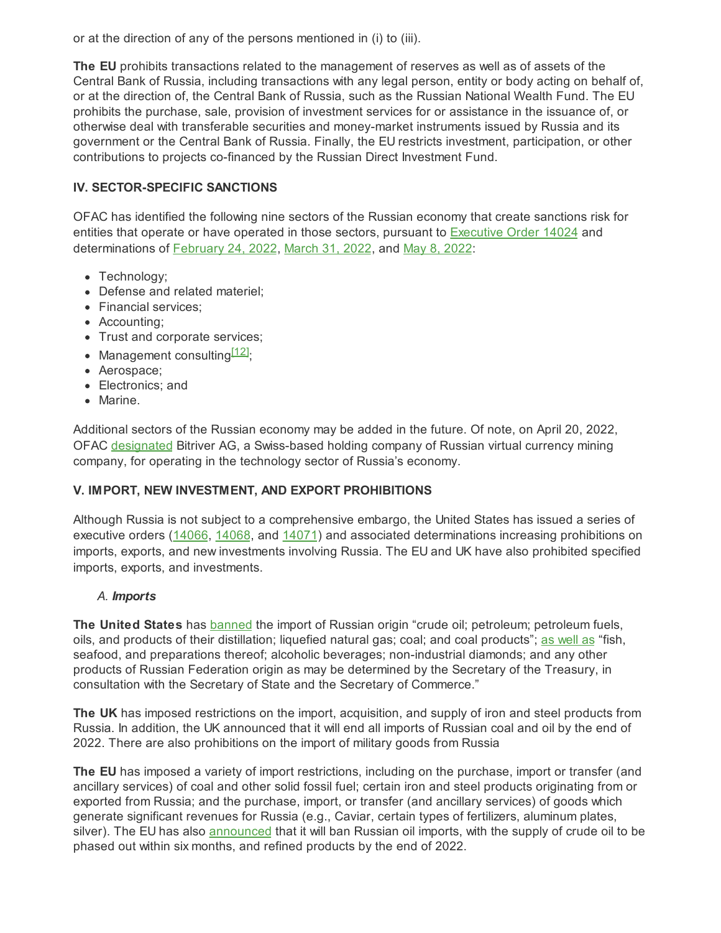or at the direction of any of the persons mentioned in (i) to (iii).

**The EU** prohibits transactions related to the management of reserves as well as of assets of the Central Bank of Russia, including transactions with any legal person, entity or body acting on behalf of, or at the direction of, the Central Bank of Russia, such as the Russian National Wealth Fund. The EU prohibits the purchase, sale, provision of investment services for or assistance in the issuance of, or otherwise deal with transferable securities and money-market instruments issued by Russia and its government or the Central Bank of Russia. Finally, the EU restricts investment, participation, or other contributions to projects co-financed by the Russian Direct Investment Fund.

#### **IV. SECTOR-SPECIFIC SANCTIONS**

OFAC has identified the following nine sectors of the Russian economy that create sanctions risk for entities that operate or have operated in those sectors, pursuant to **[Executive](https://home.treasury.gov/system/files/126/14024.pdf) Order 14024** and determinations of [February](https://home.treasury.gov/system/files/126/russia_harmful_determination_20220222.pdf) 24, 2022, [March](https://home.treasury.gov/system/files/126/russia_harmful_determination_20220331.pdf) 31, 2022, and May 8, [2022](https://home.treasury.gov/system/files/126/determination_05082022_eo14024.pdf):

- Technology:
- Defense and related materiel;
- Financial services:
- Accounting;
- Trust and corporate services;
- Management consulting<sup>[\[12\]](#page-8-4)</sup>;
- <span id="page-4-0"></span>• Aerospace;
- Electronics: and
- Marine.

Additional sectors of the Russian economy may be added in the future. Of note, on April 20, 2022, OFAC [designated](https://home.treasury.gov/news/press-releases/jy0731) Bitriver AG, a Swiss-based holding company of Russian virtual currency mining company, for operating in the technology sector of Russia's economy.

#### **V. IMPORT, NEW INVESTMENT, AND EXPORT PROHIBITIONS**

Although Russia is not subject to a comprehensive embargo, the United States has issued a series of executive orders ([14066](https://home.treasury.gov/system/files/126/eo_prohibitions_imports_investments.pdf), [14068](https://home.treasury.gov/system/files/126/14068.pdf), and [14071](https://home.treasury.gov/system/files/126/14071.pdf)) and associated determinations increasing prohibitions on imports, exports, and new investments involving Russia. The EU and UK have also prohibited specified imports, exports, and investments.

#### *A. Imports*

**The United States** has [banned](https://home.treasury.gov/system/files/126/eo_prohibitions_imports_investments.pdf) the import of Russian origin "crude oil; petroleum; petroleum fuels, oils, and products of their distillation; liquefied natural gas; coal; and coal products"; as [well](https://home.treasury.gov/system/files/126/14068.pdf) as "fish, seafood, and preparations thereof; alcoholic beverages; non-industrial diamonds; and any other products of Russian Federation origin as may be determined by the Secretary of the Treasury, in consultation with the Secretary of State and the Secretary of Commerce."

**The UK** has imposed restrictions on the import, acquisition, and supply of iron and steel products from Russia. In addition, the UK announced that it will end all imports of Russian coal and oil by the end of 2022. There are also prohibitions on the import of military goods from Russia

**The EU** has imposed a variety of import restrictions, including on the purchase, import or transfer (and ancillary services) of coal and other solid fossil fuel; certain iron and steel products originating from or exported from Russia; and the purchase, import, or transfer (and ancillary services) of goods which generate significant revenues for Russia (e.g., Caviar, certain types of fertilizers, aluminum plates, silver). The EU has also [announced](https://ec.europa.eu/commission/presscorner/detail/en/speech_22_2785) that it will ban Russian oil imports, with the supply of crude oil to be phased out within six months, and refined products by the end of 2022.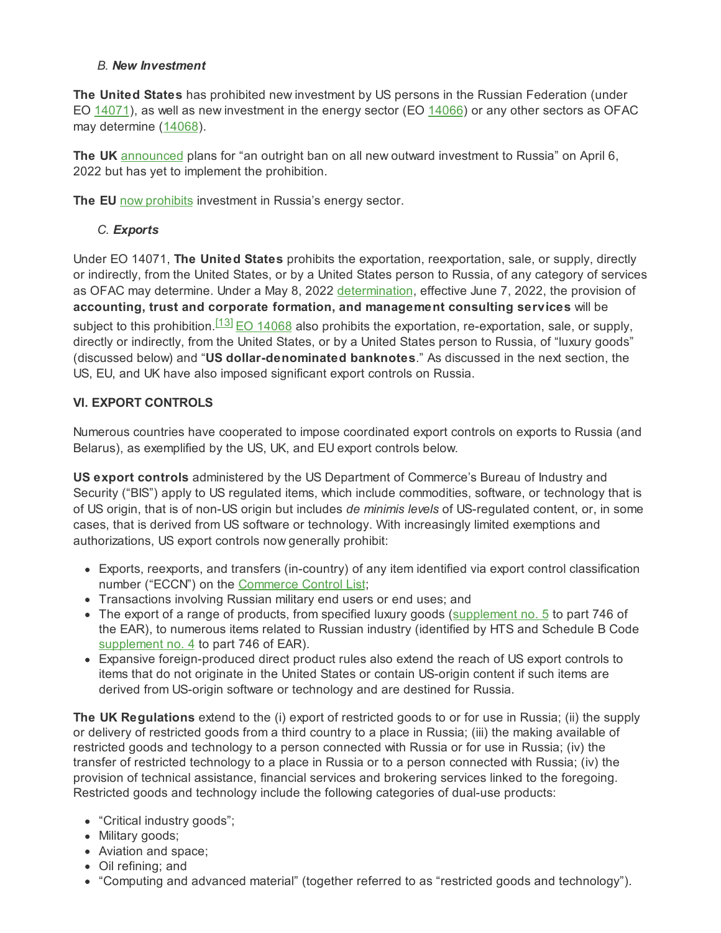#### *B. New Investment*

**The United States** has prohibited new investment by US persons in the Russian Federation (under EO [14071](https://home.treasury.gov/system/files/126/14071.pdf)), as well as new investment in the energy sector (EO [14066\)](https://home.treasury.gov/system/files/126/eo_14066.pdf) or any other sectors as OFAC may determine ([14068\)](https://home.treasury.gov/system/files/126/14068.pdf).

**The UK** [announced](https://www.gov.uk/government/news/uk-imposes-sweeping-new-sanctions-to-starve-putins-war-machine#:~:text=an outright ban on all,further limit their future capabilities) plans for "an outright ban on all new outward investment to Russia" on April 6, 2022 but has yet to implement the prohibition.

**The EU** now [prohibits](https://ec.europa.eu/commission/presscorner/detail/en/ip_22_1761) investment in Russia's energy sector.

#### <span id="page-5-0"></span>*C. Exports*

Under EO 14071, **The United States** prohibits the exportation, reexportation, sale, or supply, directly or indirectly, from the United States, or by a United States person to Russia, of any category of services as OFAC may determine. Under a May 8, 2022 [determination](https://home.treasury.gov/system/files/126/determination_05082022_eo14071.pdf), effective June 7, 2022, the provision of **accounting, trust and corporate formation, and management consulting services** will be subject to this prohibition.<sup>[\[13\]](#page-8-5)</sup> <u>EO [14068](https://home.treasury.gov/system/files/126/14068.pdf)</u> also prohibits the exportation, re-exportation, sale, or supply, directly or indirectly, from the United States, or by a United States person to Russia, of "luxury goods" (discussed below) and "**US dollar-denominated banknotes**." As discussed in the next section, the US, EU, and UK have also imposed significant export controls on Russia.

#### **VI. EXPORT CONTROLS**

Numerous countries have cooperated to impose coordinated export controls on exports to Russia (and Belarus), as exemplified by the US, UK, and EU export controls below.

**US export controls** administered by the US Department of Commerce's Bureau of Industry and Security ("BIS") apply to US regulated items, which include commodities, software, or technology that is of US origin, that is of non-US origin but includes *de minimis levels* of US-regulated content, or, in some cases, that is derived from US software or technology. With increasingly limited exemptions and authorizations, US export controls now generally prohibit:

- Exports, reexports, and transfers (in-country) of any item identified via export control classification number ("ECCN") on the [Commerce](https://www.bis.doc.gov/index.php/regulations/export-administration-regulations-ear) Control List;
- Transactions involving Russian military end users or end uses; and
- The export of a range of products, from specified luxury goods ([supplement](https://www.ecfr.gov/current/title-15/subtitle-B/chapter-VII/subchapter-C/part-746/appendix-Supplement No. 5 to Part 746) no. 5 to part 746 of the EAR), to numerous items related to Russian industry (identified by HTS and Schedule B Code [supplement](https://www.ecfr.gov/current/title-15/subtitle-B/chapter-VII/subchapter-C/part-746/appendix-Supplement No. 4 to Part 746) no. 4 to part 746 of EAR).
- Expansive foreign-produced direct product rules also extend the reach of US export controls to items that do not originate in the United States or contain US-origin content if such items are derived from US-origin software or technology and are destined for Russia.

**The UK Regulations** extend to the (i) export of restricted goods to or for use in Russia; (ii) the supply or delivery of restricted goods from a third country to a place in Russia; (iii) the making available of restricted goods and technology to a person connected with Russia or for use in Russia; (iv) the transfer of restricted technology to a place in Russia or to a person connected with Russia; (iv) the provision of technical assistance, financial services and brokering services linked to the foregoing. Restricted goods and technology include the following categories of dual-use products:

- "Critical industry goods";
- Military goods;
- Aviation and space;
- Oil refining; and
- "Computing and advanced material" (together referred to as "restricted goods and technology").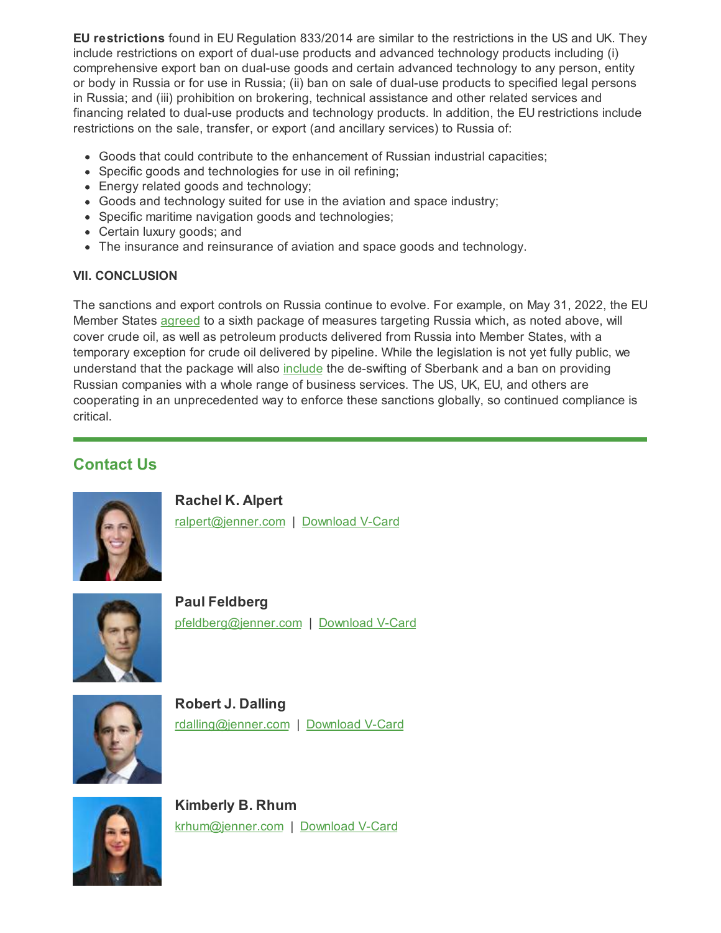**EU restrictions** found in EU Regulation 833/2014 are similar to the restrictions in the US and UK. They include restrictions on export of dual-use products and advanced technology products including (i) comprehensive export ban on dual-use goods and certain advanced technology to any person, entity or body in Russia or for use in Russia; (ii) ban on sale of dual-use products to specified legal persons in Russia; and (iii) prohibition on brokering, technical assistance and other related services and financing related to dual-use products and technology products. In addition, the EU restrictions include restrictions on the sale, transfer, or export (and ancillary services) to Russia of:

- Goods that could contribute to the enhancement of Russian industrial capacities;
- Specific goods and technologies for use in oil refining;
- Energy related goods and technology;
- Goods and technology suited for use in the aviation and space industry;
- Specific maritime navigation goods and technologies;
- Certain luxury goods; and
- The insurance and reinsurance of aviation and space goods and technology.

#### **VII. CONCLUSION**

The sanctions and export controls on Russia continue to evolve. For example, on May 31, 2022, the EU Member States [agreed](https://www.consilium.europa.eu/en/press/press-releases/2022/05/31/european-council-conclusions-on-ukraine-30-may-2022/) to a sixth package of measures targeting Russia which, as noted above, will cover crude oil, as well as petroleum products delivered from Russia into Member States, with a temporary exception for crude oil delivered by pipeline. While the legislation is not yet fully public, we understand that the package will also [include](https://ec.europa.eu/commission/presscorner/detail/en/statement_22_3382) the de-swifting of Sberbank and a ban on providing Russian companies with a whole range of business services. The US, UK, EU, and others are cooperating in an unprecedented way to enforce these sanctions globally, so continued compliance is critical.

## **Contact Us**



**Rachel K. Alpert** [ralpert@jenner.com](mailto:ralpert@jenner.com) | [Download](https://jenner.com/people/1239/vcard) V-Card



**Paul Feldberg** [pfeldberg@jenner.com](mailto:pfeldberg@jenner.com) | [Download](https://jenner.com/people/1059/vcard) V-Card



**Robert J. Dalling** [rdalling@jenner.com](mailto:rdalling@jenner.com) | [Download](https://jenner.com/people/1088/vcard) V-Card



**Kimberly B. Rhum** [krhum@jenner.com](mailto:krhum@jenner.com) | [Download](https://jenner.com/people/1283/vcard) V-Card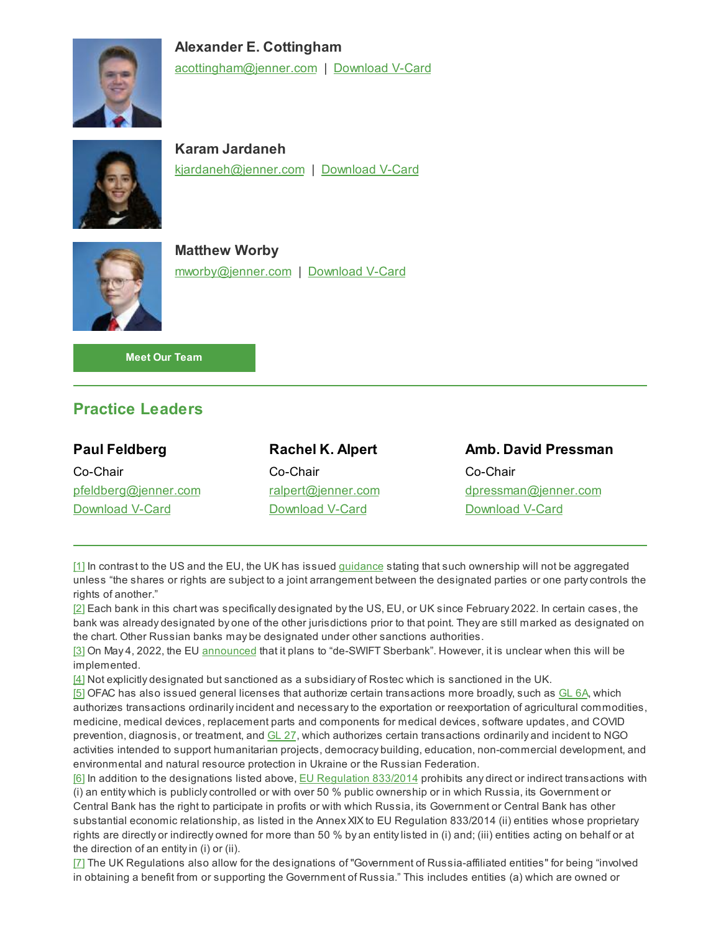

**Alexander E. Cottingham** [acottingham@jenner.com](mailto:acottingham@jenner.com) | [Download](https://jenner.com/people/1221/vcard) V-Card



**Karam Jardaneh** [kjardaneh@jenner.com](mailto:kjardaneh@jenner.com) | [Download](https://jenner.com/people/1193/vcard) V-Card



**Matthew Worby** [mworby@jenner.com](mailto:mworby@jenner.com) | [Download](https://jenner.com/people/1117/vcard) V-Card

**Meet Our [Team](https://jenner.com/practices/496/attorneys)**

## **Practice Leaders**

| <b>Paul Feldberg</b> | <b>Rachel K. Alpert</b> | <b>Amb. David Pressman</b> |
|----------------------|-------------------------|----------------------------|
| Co-Chair             | Co-Chair                | Co-Chair                   |
| pfeldberg@jenner.com | ralpert@jenner.com      | dpressman@jenner.com       |
| Download V-Card      | Download V-Card         | Download V-Card            |
|                      |                         |                            |

<span id="page-7-0"></span>[\[1\]](#page-0-0) In contrast to the US and the EU, the UK has issued [guidance](https://assets.publishing.service.gov.uk/government/uploads/system/uploads/attachment_data/file/1062452/General_Guidance_-_UK_Financial_Sanctions.pdf) stating that such ownership will not be aggregated unless "the shares or rights are subject to a joint arrangement between the designated parties or one party controls the rights of another."

<span id="page-7-1"></span>[\[2\]](#page-1-0) Each bank in this chart was specifically designated by the US, EU, or UK since February 2022. In certain cases, the bank was already designated by one of the other jurisdictions prior to that point. They are still marked as designated on the chart. Other Russian banks may be designated under other sanctions authorities.

<span id="page-7-2"></span>[\[3\]](#page-1-1) On May 4, 2022, the EU [announced](https://ec.europa.eu/commission/presscorner/detail/en/speech_22_2785) that it plans to "de-SWIFT Sberbank". However, it is unclear when this will be implemented.

<span id="page-7-3"></span>[\[4\]](#page-1-2) Not explicitly designated but sanctioned as a subsidiary of Rostec which is sanctioned in the UK.

<span id="page-7-4"></span>[\[5\]](#page-2-0) OFAC has also issued general licenses that authorize certain transactions more broadly, such as [GL](https://home.treasury.gov/system/files/126/russia_gl6a.pdf) 6A, which authorizes transactions ordinarily incident and necessary to the exportation or reexportation of agricultural commodities, medicine, medical devices, replacement parts and components for medical devices, software updates, and COVID prevention, diagnosis, or treatment, and [GL](https://home.treasury.gov/system/files/126/russia_gl27.pdf) 27, which authorizes certain transactions ordinarily and incident to NGO activities intended to support humanitarian projects, democracy building, education, non-commercial development, and environmental and natural resource protection in Ukraine or the Russian Federation.

<span id="page-7-5"></span>[\[6\]](#page-2-1) In addition to the designations listed above, **EU [Regulation](https://eur-lex.europa.eu/legal-content/EN/TXT/?uri=CELEX:02014R0833-20220413) 833/2014** prohibits any direct or indirect transactions with (i) an entity which is publicly controlled or with over 50 % public ownership or in which Russia, its Government or Central Bank has the right to participate in profits or with which Russia, its Government or Central Bank has other substantial economic relationship, as listed in the Annex XIX to EU Regulation 833/2014 (ii) entities whose proprietary rights are directly or indirectly owned for more than 50 % by an entity listed in (i) and; (iii) entities acting on behalf or at the direction of an entity in (i) or (ii).

<span id="page-7-6"></span>[\[7\]](#page-2-2) The UK Regulations also allow for the designations of "Government of Russia-affiliated entities" for being "involved in obtaining a benefit from or supporting the Government of Russia." This includes entities (a) which are owned or